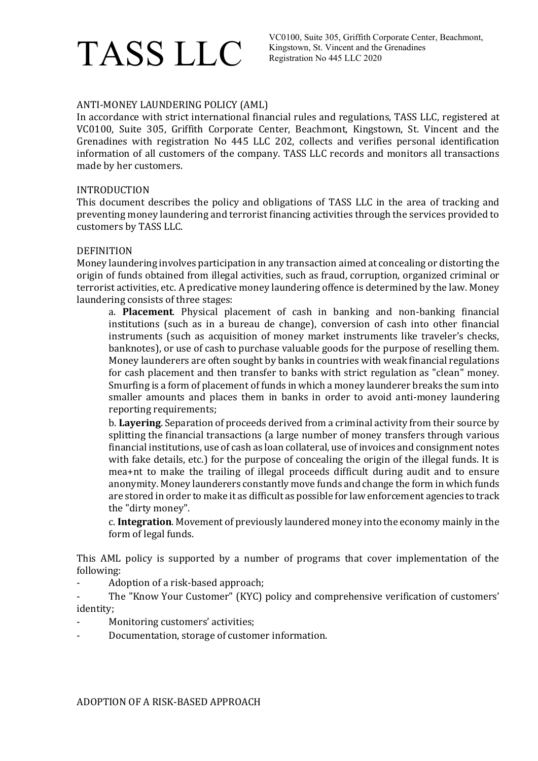## TASS LLC

## ANTI-MONEY LAUNDERING POLICY (AML)

In accordance with strict international financial rules and regulations, TASS LLC, registered at VC0100, Suite 305, Griffith Corporate Center, Beachmont, Kingstown, St. Vincent and the Grenadines with registration No 445 LLC 202, collects and verifies personal identification information of all customers of the company. TASS LLC records and monitors all transactions made by her customers.

### INTRODUCTION

This document describes the policy and obligations of TASS LLC in the area of tracking and preventing money laundering and terrorist financing activities through the services provided to customers by TASS LLC.

#### DEFINITION

Money laundering involves participation in any transaction aimed at concealing or distorting the origin of funds obtained from illegal activities, such as fraud, corruption, organized criminal or terrorist activities, etc. A predicative money laundering offence is determined by the law. Money laundering consists of three stages:

a. Placement. Physical placement of cash in banking and non-banking financial institutions (such as in a bureau de change), conversion of cash into other financial instruments (such as acquisition of money market instruments like traveler's checks, banknotes), or use of cash to purchase valuable goods for the purpose of reselling them. Money launderers are often sought by banks in countries with weak financial regulations for cash placement and then transfer to banks with strict regulation as "clean" money. Smurfing is a form of placement of funds in which a money launderer breaks the sum into smaller amounts and places them in banks in order to avoid anti-money laundering reporting requirements;

b. **Lavering**, Separation of proceeds derived from a criminal activity from their source by splitting the financial transactions (a large number of money transfers through various financial institutions, use of cash as loan collateral, use of invoices and consignment notes with fake details, etc.) for the purpose of concealing the origin of the illegal funds. It is mea+nt to make the trailing of illegal proceeds difficult during audit and to ensure anonymity. Money launderers constantly move funds and change the form in which funds are stored in order to make it as difficult as possible for law enforcement agencies to track the "dirty money".

c. Integration. Movement of previously laundered money into the economy mainly in the form of legal funds.

This AML policy is supported by a number of programs that cover implementation of the following:

Adoption of a risk-based approach;

The "Know Your Customer" (KYC) policy and comprehensive verification of customers' identity;

- Monitoring customers' activities;
- Documentation, storage of customer information.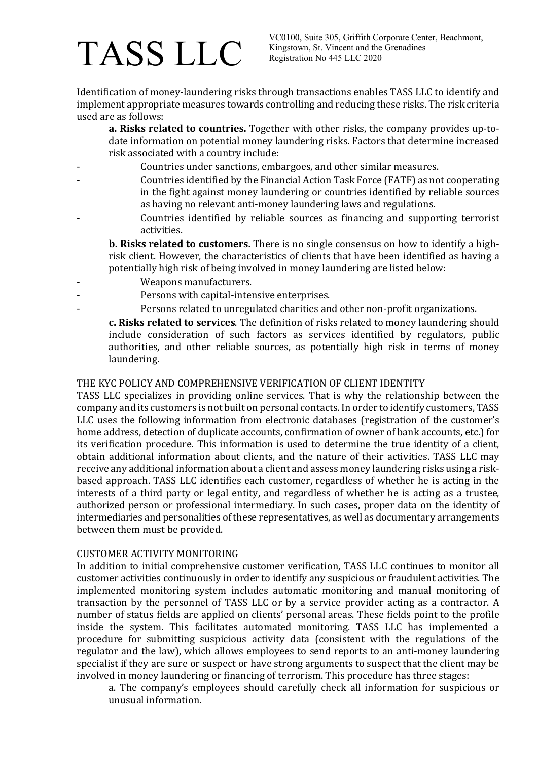# TASS LLC

VC0100, Suite 305, Griffith Corporate Center, Beachmont, Kingstown, St. Vincent and the Grenadines Registration No 445 LLC 2020

Identification of money-laundering risks through transactions enables TASS LLC to identify and implement appropriate measures towards controlling and reducing these risks. The risk criteria used are as follows:

a. Risks related to countries. Together with other risks, the company provides up-todate information on potential money laundering risks. Factors that determine increased risk associated with a country include:

- Countries under sanctions, embargoes, and other similar measures.
- Countries identified by the Financial Action Task Force (FATF) as not cooperating in the fight against money laundering or countries identified by reliable sources as having no relevant anti-money laundering laws and regulations.
- Countries identified by reliable sources as financing and supporting terrorist activities.

b. Risks related to customers. There is no single consensus on how to identify a highrisk client. However, the characteristics of clients that have been identified as having a potentially high risk of being involved in money laundering are listed below:

- Weapons manufacturers.
- Persons with capital-intensive enterprises.
- Persons related to unregulated charities and other non-profit organizations.

c. Risks related to services. The definition of risks related to money laundering should include consideration of such factors as services identified by regulators, public authorities, and other reliable sources, as potentially high risk in terms of money laundering.

### THE KYC POLICY AND COMPREHENSIVE VERIFICATION OF CLIENT IDENTITY

TASS LLC specializes in providing online services. That is why the relationship between the company and its customers is not built on personal contacts. In order to identify customers, TASS LLC uses the following information from electronic databases (registration of the customer's home address, detection of duplicate accounts, confirmation of owner of bank accounts, etc.) for its verification procedure. This information is used to determine the true identity of a client, obtain additional information about clients, and the nature of their activities. TASS LLC may receive any additional information about a client and assess money laundering risks using a riskbased approach. TASS LLC identifies each customer, regardless of whether he is acting in the interests of a third party or legal entity, and regardless of whether he is acting as a trustee, authorized person or professional intermediary. In such cases, proper data on the identity of intermediaries and personalities of these representatives, as well as documentary arrangements between them must be provided.

### CUSTOMER ACTIVITY MONITORING

In addition to initial comprehensive customer verification, TASS LLC continues to monitor all customer activities continuously in order to identify any suspicious or fraudulent activities. The implemented monitoring system includes automatic monitoring and manual monitoring of transaction by the personnel of TASS LLC or by a service provider acting as a contractor. A number of status fields are applied on clients' personal areas. These fields point to the profile inside the system. This facilitates automated monitoring. TASS LLC has implemented a procedure for submitting suspicious activity data (consistent with the regulations of the regulator and the law), which allows employees to send reports to an anti-money laundering specialist if they are sure or suspect or have strong arguments to suspect that the client may be involved in money laundering or financing of terrorism. This procedure has three stages:

a. The company's employees should carefully check all information for suspicious or unusual information.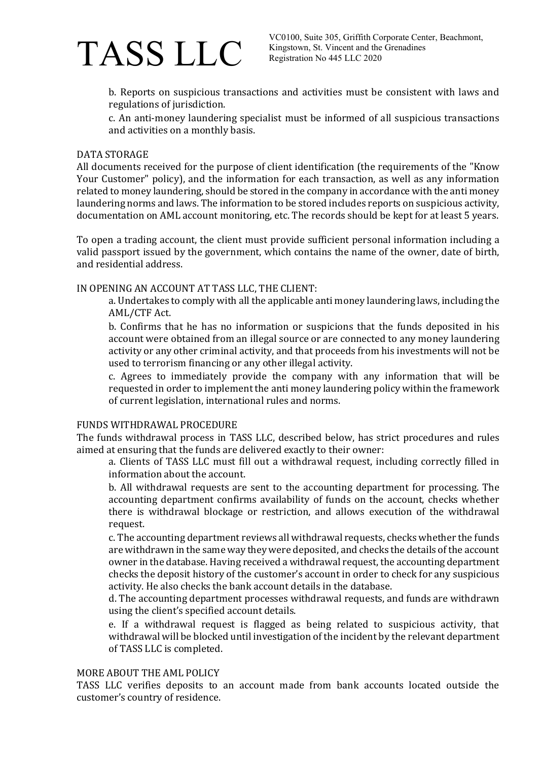

b. Reports on suspicious transactions and activities must be consistent with laws and regulations of jurisdiction.

c. An anti-money laundering specialist must be informed of all suspicious transactions and activities on a monthly basis.

#### DATA STORAGE

All documents received for the purpose of client identification (the requirements of the "Know Your Customer" policy), and the information for each transaction, as well as any information related to money laundering, should be stored in the company in accordance with the anti money laundering norms and laws. The information to be stored includes reports on suspicious activity, documentation on AML account monitoring, etc. The records should be kept for at least 5 years.

To open a trading account, the client must provide sufficient personal information including a valid passport issued by the government, which contains the name of the owner, date of birth, and residential address.

### IN OPENING AN ACCOUNT AT TASS LLC, THE CLIENT:

a. Undertakes to comply with all the applicable anti money laundering laws, including the AML/CTF Act.

b. Confirms that he has no information or suspicions that the funds deposited in his account were obtained from an illegal source or are connected to any money laundering activity or any other criminal activity, and that proceeds from his investments will not be used to terrorism financing or any other illegal activity.

c. Agrees to immediately provide the company with any information that will be requested in order to implement the anti money laundering policy within the framework of current legislation, international rules and norms.

#### FUNDS WITHDRAWAL PROCEDURE

The funds withdrawal process in TASS LLC, described below, has strict procedures and rules aimed at ensuring that the funds are delivered exactly to their owner:

a. Clients of TASS LLC must fill out a withdrawal request, including correctly filled in information about the account.

b. All withdrawal requests are sent to the accounting department for processing. The accounting department confirms availability of funds on the account, checks whether there is withdrawal blockage or restriction, and allows execution of the withdrawal request.

c. The accounting department reviews all withdrawal requests, checks whether the funds are withdrawn in the same way they were deposited, and checks the details of the account owner in the database. Having received a withdrawal request, the accounting department checks the deposit history of the customer's account in order to check for any suspicious activity. He also checks the bank account details in the database.

d. The accounting department processes withdrawal requests, and funds are withdrawn using the client's specified account details.

e. If a withdrawal request is flagged as being related to suspicious activity, that withdrawal will be blocked until investigation of the incident by the relevant department of TASS LLC is completed.

#### MORE ABOUT THE AML POLICY

TASS LLC verifies deposits to an account made from bank accounts located outside the customer's country of residence.